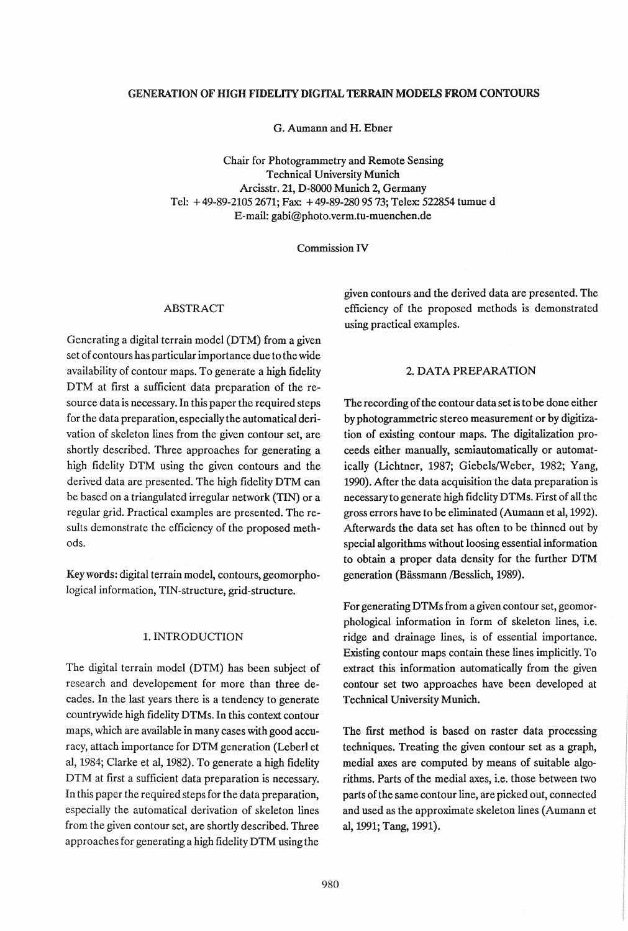#### GENERATION OF HIGH FIDELI1Y DIGITAL TERRAIN MODELS FROM CONTOURS

G. Aumann and H. Ebner

Chair for Photogrammetry and Remote Sensing Technical University Munich Arcisstr. 21, D-SOOO Munich 2, Germany Tel: + 49-89-21052671; Fax: + 49-89-2809573; Telex: 522854 tumue d E-mail: gabi@photo.verm.tu-muenchen.de

Commission IV

## ABSTRACT

Generating a digital terrain model (DTM) from a given set of contours has particular importance due to the wide availability of contour maps. To generate a high fidelity DTM at first a sufficient data preparation of the resource data is necessary. In this paper the required steps for the data preparation, especially the automatical derivation of skeleton lines from the given contour set, are shortly described. Three approaches for generating a high fidelity DTM using the given contours and the derived data are presented. The high fidelity DTM can be based on a triangulated irregular network (TIN) or a regular grid. Practical examples are presented. The results demonstrate the efficiency of the proposed methods.

Key words: digital terrain model, contours, geomorphological information, TIN-structure, grid-structure.

### 1. INTRODUCTION

The digital terrain model (DTM) has been subject of research and developement for more than three decades. In the last years there is a tendency to generate countrywide high fidelity DTMs. In this context contour maps, which are available in many cases with good accuracy, attach importance for DTM generation (Leberl et aI, 1984; Clarke et aI, 1982). To generate a high fidelity DTM at first a sufficient data preparation is necessary. In this paper the required steps for the data preparation, especially the automatical derivation of skeleton lines from the given contour set, are shortly described. Three approaches for generating a high fidelity DTM using the

given contours and the derived data are presented. The efficiency of the proposed methods is demonstrated using practical examples.

## 2. DATA PREPARATION

The recording of the contour data set is to be done either by photogrammetric stereo measurement or by digitization of existing contour maps. The digitalization proceeds either manually, semiautomatically or automatically (Lichtner, 1987; Giebels/Weber, 1982; Yang, 1990). After the data acquisition the data preparation is necessary to generate high fidelity DTMs. First of all the gross errors have to be eliminated (Aumann et aI, 1992). Afterwards the data set has often to be thinned out by special algorithms without loosing essential information to obtain a proper data density for the further DTM generation (Bassmann /Besslich, 1989).

For generating DTMs from a given contour set, geomorphological information in form of skeleton lines, i.e. ridge and drainage lines, is of essential importance. Existing contour maps contain these lines implicitly. To extract this information automatically from the given contour set two approaches have been developed at Technical University Munich.

The first method is based on raster data processing techniques. Treating the given contour set as a graph, medial axes are computed by means of suitable algorithms. Parts of the medial axes, i.e. those between two parts of the same contour line, are picked out, connected and used as the approximate skeleton lines (Aumann et al, 1991; Tang, 1991).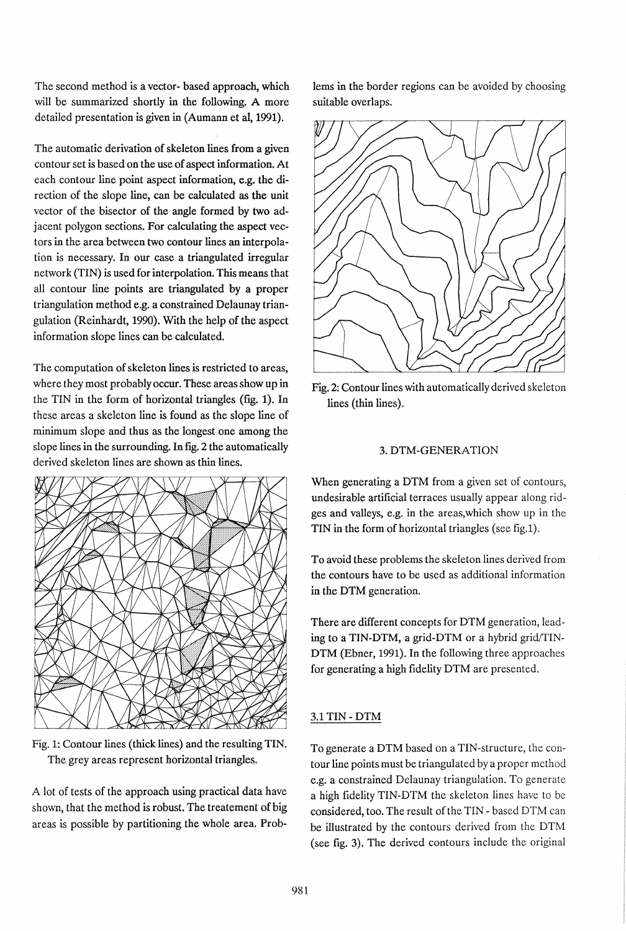The second method is a vector- based approach, which will be summarized shortly in the following. A more detailed presentation is given in (Aumann et al, 1991).

The automatic derivation of skeleton lines from a given contour set is based on the use of aspect information. At each contour line point aspect information, e.g. the direction of the slope line, can be calculated as the unit vector of the bisector of the angle formed by two adjacent polygon sections. For calculating the aspect vectors in the area between two contour lines an interpolation is necessary. In our case a triangulated irregular network (TIN) is used for interpolation. This means that all contour line points are triangulated by a proper triangulation method e.g. a constrained Delaunay triangulation (Reinhardt, 1990). With the help of the aspect information slope lines can be calculated.

The computation of skeleton lines is restricted to areas, where they most probably occur. These areas show up in the TIN in the form of horizontal triangles (fig. 1). In these areas a skeleton line is found as the slope line of minimum slope and thus as the longest one among the slope lines in the surrounding. In fig. 2 the automatically derived skeleton lines are shown as thin lines.



Fig. 1: Contour lines ( thick lines) and the resulting TIN. The grey areas represent horizontal triangles.

A lot of tests of the approach using practical data have shown, that the method is robust. The treatement of big areas is possible by partitioning the whole area. Problems in the border regions can be avoided by choosing suitable overlaps.



Fig. 2: Contour lines with automatically derived skeleton lines (thin lines).

### 3. DTM-GENERATION

When generating a DTM from a given set of contours, undesirable artificial terraces usually appear along ridges and valleys, e.g. in the areas,which show up in the TIN in the form of horizontal triangles (see fig.1).

To avoid these problems the skeleton lines derived from the contours have to be used as additional information in the DTM generation.

There are different concepts for DTM generation, leading to a TIN-DTM, a grid-DTM or a hybrid grid/TIN-DTM (Ebner, 1991). In the following three approaches for generating a high fidelity DTM are presented.

# 3.1 TIN - DTM

To generate a DTM based on a TIN-structure, the contour line points must be triangulated by a proper method e.g. a constrained Delaunay triangulation. To generate a high fidelity TIN-DTM the skeleton lines have to be considered, too. The result of the TIN - based DTM can be illustrated by the contours derived from the DTM (see fig. 3). The derived contours include the original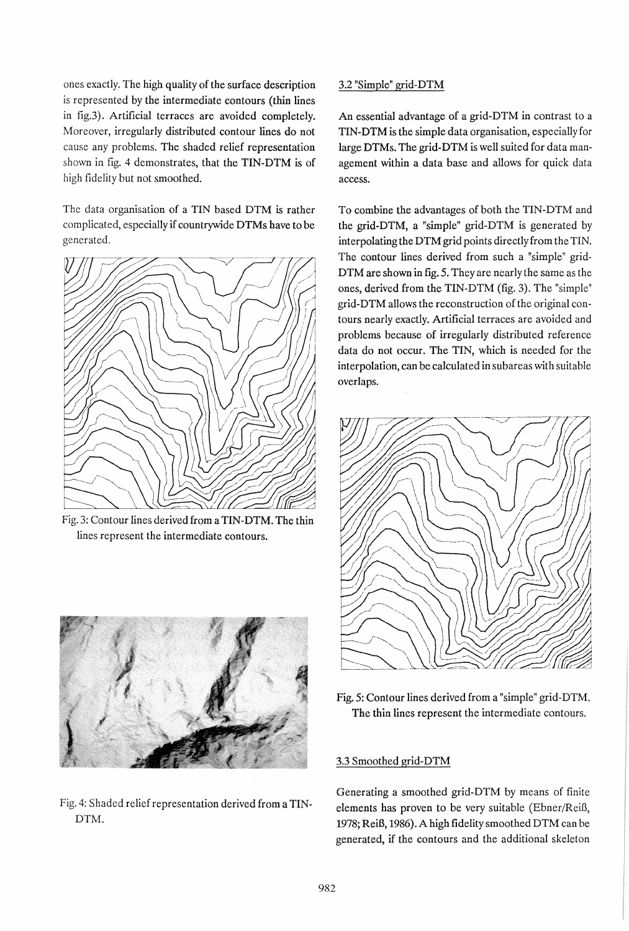ones exactly. The high quality of the surface description is represented by the intermediate contours (thin lines in fig.3). Artificial terraces are avoided completely. Moreover, irregularly distributed contour lines do not cause any problems. The shaded relief representation shown in fig. 4 demonstrates, that the TIN-DTM is of high fidelity but not smoothed.

The data organisation of a TIN based DTM is rather complicated, especially if countrywide DTMs have to be generated.



Fig. 3: Contour lines derived from a TIN-DTM. The thin lines represent the intermediate contours.



Fig. 4: Shaded relief representation derived from a TIN-DTM.

## 3.2 "Simple" grid-DTM

An essential advantage of a grid-DTM in contrast to a TIN-DTM is the simple data organisation, especially for large DTMs. The grid-DTM is well suited for data management within a data base and allows for quick data access.

To combine the advantages of both the TIN-DTM and the grid-DTM, a "simple" grid-DTM is generated by interpolating the DTM grid points directly from the TIN. The contour lines derived from such a "simple" grid-DTM are shown in fig. 5. They are nearly the same as the ones, derived from the TIN-DTM (fig. 3). The "simple" grid-DTM allows the reconstruction of the original contours nearly exactly. Artificial terraces are avoided and problems because of irregularly distributed reference data do not occur. The TIN, which is needed for the interpolation, can be calculated in subareas with suitable overlaps.



Fig. 5: Contour lines derived from a "simple" grid-DTM. The thin lines represent the intermediate contours.

# 3.3 Smoothed grid-DTM

Generating a smoothed grid-DTM by means of finite elements has proven to be very suitable (Ebner/ReiB, 1978; ReiB, 1986). A high fidelity smoothed DTM can be generated, if the contours and the additional skeleton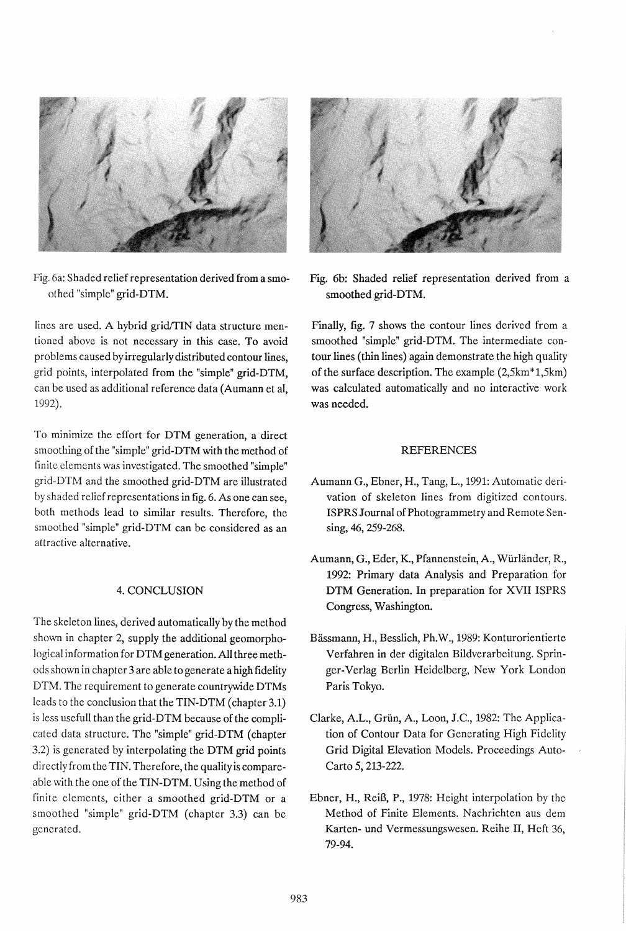

Fig. 6a: Shaded relief representation derived from a smoothed "simple" grid-DTM.

lines are used. A hybrid grid/TIN data structure mentioned above is not necessary in this case. To avoid problems caused by irregularly distributed contour lines, grid points, interpolated from the "simple" grid-DTM, can be used as additional reference data (Aumann et aI, 1992).

To minimize the effort for DTM generation, a direct smoothing of the "simple" grid-DTM with the method of finite elements was investigated. The smoothed "simple" grid-DTM and the smoothed grid-DTM are illustrated by shaded relief representations in fig. 6. As one can see, both methods lead to similar results. Therefore, the smoothed "simple" grid-DTM can be considered as an attractive alternative.

## 4. CONCLUSION

The skeleton lines, derived automatically by the method shown in chapter 2, supply the additional geomorphological information for DTM generation. All three methods shown in chapter 3 are able to generate a high fidellty DTM. The requirement to generate countrywide DTMs leads to the conclusion that the TIN-DTM (chapter 3.1) is less usefull than the grid-DTM because of the complicated data structure. The "simple" grid-DTM (chapter 3.2) is generated by interpolating the DTM grid points directly from the TIN. Therefore, the quality is compareable with the one of the TIN-DTM. Using the method of finite elements, either a smoothed grid-DTM or a smoothed "simple" grid-DTM (chapter 3.3) can be generated.



Fig. 6b: Shaded relief representation derived from a smoothed grid-DTM.

Finally, fig. 7 shows the contour lines derived from a smoothed "simple" grid-DTM. The intermediate contour lines (thin lines) again demonstrate the high quality of the surface description. The example (2,5km\*1,5km) was calculated automatically and no interactive work was needed.

#### REFERENCES

- Aumann G., Ebner, H., Tang, L., 1991: Automatic derivation of skeleton lines from digitized contours. ISPRS Journal of Photogrammetry and Remote Sensing, 46, 259-268.
- Aumann, G., Eder, K., Pfannenstein, A., Würländer, R., 1992: Primary data Analysis and Preparation for DTM Generation. In preparation for XVII ISPRS Congress, Washington.
- Bassmann, H., Besslich, Ph.W., 1989: Konturorientierte Verfahren in der digitalen Bildverarbeitung. Springer-Verlag Berlin Heidelberg, New York London Paris Tokyo.
- Clarke, A.L., Griin, A., Loon, J.C., 1982: The Application of Contour Data for Generating High Fidelity Grid Digital Elevation Models. Proceedings Auto-Carto 5, 213-222.
- Ebner, H., ReiB, P., 1978: Height interpolation by the Method of Finite Elements. Nachrichten aus dem Karten- und Vermessungswesen. Reihe II, Heft 36, 79-94.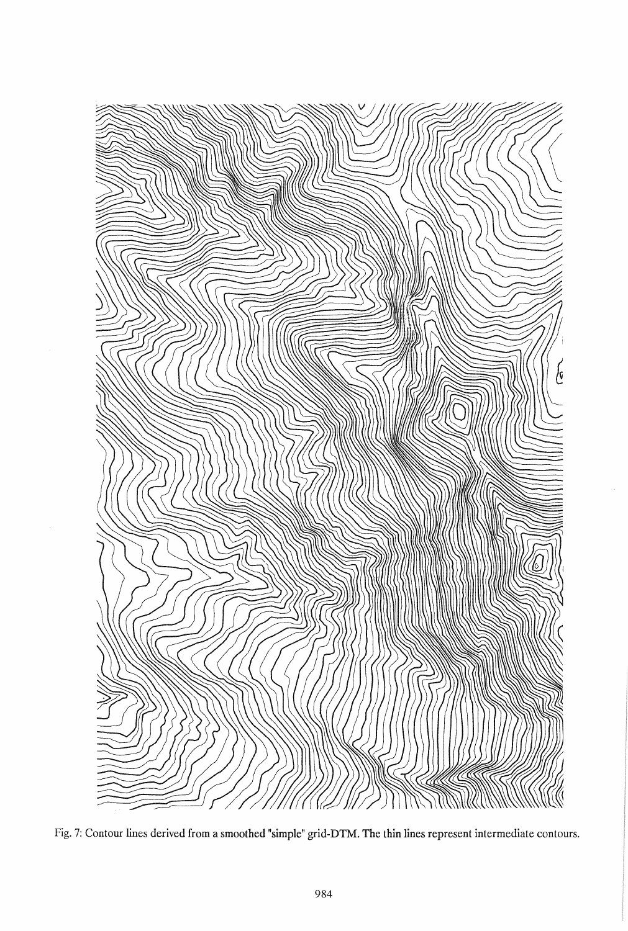

Fig. 7: Contour lines derived from a smoothed "simple" grid-DTM. The thin lines represent intermediate contours.